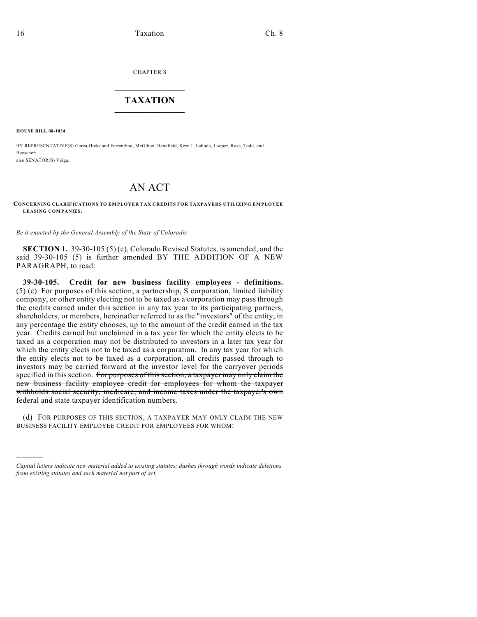CHAPTER 8

## $\overline{\phantom{a}}$  . The set of the set of the set of the set of the set of the set of the set of the set of the set of the set of the set of the set of the set of the set of the set of the set of the set of the set of the set o **TAXATION**  $\_$

**HOUSE BILL 08-1034**

)))))

BY REPRESENTATIVE(S) Garza-Hicks and Ferrandino, McGihon, Benefield, Kerr J., Labuda, Looper, Rose, Todd, and Buescher; also SENATOR(S) Veiga.

## AN ACT

**CONCERNING CLARIFICATIONS TO EMPLOYER TAX CREDITS FOR TAXPAYERS UTILIZING EMPLOYEE LEASING COMPANIES.**

*Be it enacted by the General Assembly of the State of Colorado:*

**SECTION 1.** 39-30-105 (5) (c), Colorado Revised Statutes, is amended, and the said 39-30-105 (5) is further amended BY THE ADDITION OF A NEW PARAGRAPH, to read:

**39-30-105. Credit for new business facility employees - definitions.** (5) (c) For purposes of this section, a partnership, S corporation, limited liability company, or other entity electing not to be taxed as a corporation may pass through the credits earned under this section in any tax year to its participating partners, shareholders, or members, hereinafter referred to as the "investors" of the entity, in any percentage the entity chooses, up to the amount of the credit earned in the tax year. Credits earned but unclaimed in a tax year for which the entity elects to be taxed as a corporation may not be distributed to investors in a later tax year for which the entity elects not to be taxed as a corporation. In any tax year for which the entity elects not to be taxed as a corporation, all credits passed through to investors may be carried forward at the investor level for the carryover periods specified in this section. For purposes of this section, a taxpayer may only claim the new business facility employee credit for employees for whom the taxpayer withholds social security, medicare, and income taxes under the taxpayer's own federal and state taxpayer identification numbers.

(d) FOR PURPOSES OF THIS SECTION, A TAXPAYER MAY ONLY CLAIM THE NEW BUSINESS FACILITY EMPLOYEE CREDIT FOR EMPLOYEES FOR WHOM:

*Capital letters indicate new material added to existing statutes; dashes through words indicate deletions from existing statutes and such material not part of act.*